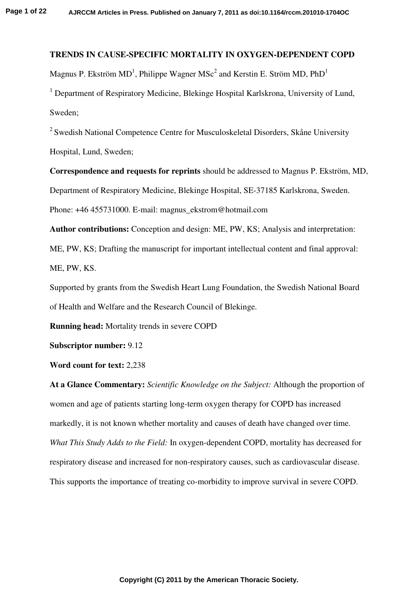## **TRENDS IN CAUSE-SPECIFIC MORTALITY IN OXYGEN-DEPENDENT COPD**

Magnus P. Ekström MD<sup>1</sup>, Philippe Wagner MS $c^2$  and Kerstin E. Ström MD, PhD<sup>1</sup>

<sup>1</sup> Department of Respiratory Medicine, Blekinge Hospital Karlskrona, University of Lund, Sweden;

<sup>2</sup> Swedish National Competence Centre for Musculoskeletal Disorders, Skåne University Hospital, Lund, Sweden;

**Correspondence and requests for reprints** should be addressed to Magnus P. Ekström, MD, Department of Respiratory Medicine, Blekinge Hospital, SE-37185 Karlskrona, Sweden. Phone: +46 455731000. E-mail: magnus\_ekstrom@hotmail.com

**Author contributions:** Conception and design: ME, PW, KS; Analysis and interpretation: ME, PW, KS; Drafting the manuscript for important intellectual content and final approval: ME, PW, KS.

Supported by grants from the Swedish Heart Lung Foundation, the Swedish National Board of Health and Welfare and the Research Council of Blekinge.

**Running head:** Mortality trends in severe COPD

**Subscriptor number:** 9.12

**Word count for text:** 2,238

**At a Glance Commentary:** *Scientific Knowledge on the Subject:* Although the proportion of women and age of patients starting long-term oxygen therapy for COPD has increased markedly, it is not known whether mortality and causes of death have changed over time. *What This Study Adds to the Field:* In oxygen-dependent COPD, mortality has decreased for respiratory disease and increased for non-respiratory causes, such as cardiovascular disease. This supports the importance of treating co-morbidity to improve survival in severe COPD.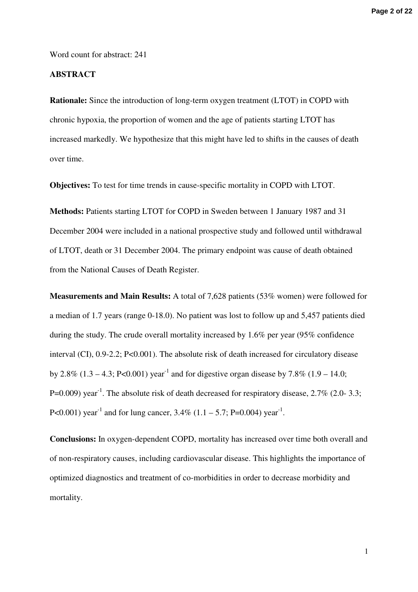**Page 2 of 22**

Word count for abstract: 241

## **ABSTRACT**

**Rationale:** Since the introduction of long-term oxygen treatment (LTOT) in COPD with chronic hypoxia, the proportion of women and the age of patients starting LTOT has increased markedly. We hypothesize that this might have led to shifts in the causes of death over time.

**Objectives:** To test for time trends in cause-specific mortality in COPD with LTOT.

**Methods:** Patients starting LTOT for COPD in Sweden between 1 January 1987 and 31 December 2004 were included in a national prospective study and followed until withdrawal of LTOT, death or 31 December 2004. The primary endpoint was cause of death obtained from the National Causes of Death Register.

**Measurements and Main Results:** A total of 7,628 patients (53% women) were followed for a median of 1.7 years (range 0-18.0). No patient was lost to follow up and 5,457 patients died during the study. The crude overall mortality increased by 1.6% per year (95% confidence interval (CI), 0.9-2.2; P<0.001). The absolute risk of death increased for circulatory disease by 2.8% (1.3 – 4.3; P<0.001) year<sup>-1</sup> and for digestive organ disease by 7.8% (1.9 – 14.0; P=0.009) year<sup>-1</sup>. The absolute risk of death decreased for respiratory disease,  $2.7\%$  (2.0- 3.3; P<0.001) year<sup>-1</sup> and for lung cancer,  $3.4\%$  (1.1 – 5.7; P=0.004) year<sup>-1</sup>.

**Conclusions:** In oxygen-dependent COPD, mortality has increased over time both overall and of non-respiratory causes, including cardiovascular disease. This highlights the importance of optimized diagnostics and treatment of co-morbidities in order to decrease morbidity and mortality.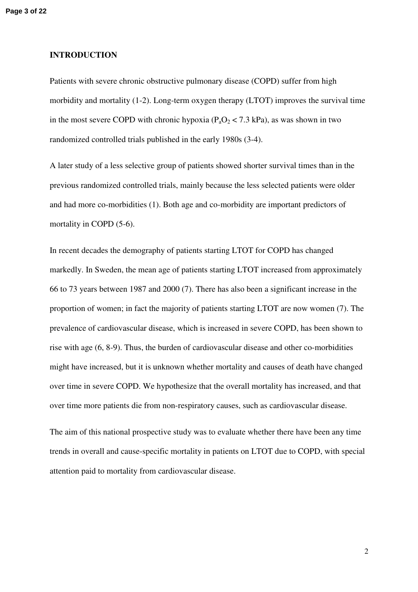#### **INTRODUCTION**

Patients with severe chronic obstructive pulmonary disease (COPD) suffer from high morbidity and mortality (1-2). Long-term oxygen therapy (LTOT) improves the survival time in the most severe COPD with chronic hypoxia ( $P_aO_2 < 7.3$  kPa), as was shown in two randomized controlled trials published in the early 1980s (3-4).

A later study of a less selective group of patients showed shorter survival times than in the previous randomized controlled trials, mainly because the less selected patients were older and had more co-morbidities (1). Both age and co-morbidity are important predictors of mortality in COPD (5-6).

In recent decades the demography of patients starting LTOT for COPD has changed markedly. In Sweden, the mean age of patients starting LTOT increased from approximately 66 to 73 years between 1987 and 2000 (7). There has also been a significant increase in the proportion of women; in fact the majority of patients starting LTOT are now women (7). The prevalence of cardiovascular disease, which is increased in severe COPD, has been shown to rise with age (6, 8-9). Thus, the burden of cardiovascular disease and other co-morbidities might have increased, but it is unknown whether mortality and causes of death have changed over time in severe COPD. We hypothesize that the overall mortality has increased, and that over time more patients die from non-respiratory causes, such as cardiovascular disease.

The aim of this national prospective study was to evaluate whether there have been any time trends in overall and cause-specific mortality in patients on LTOT due to COPD, with special attention paid to mortality from cardiovascular disease.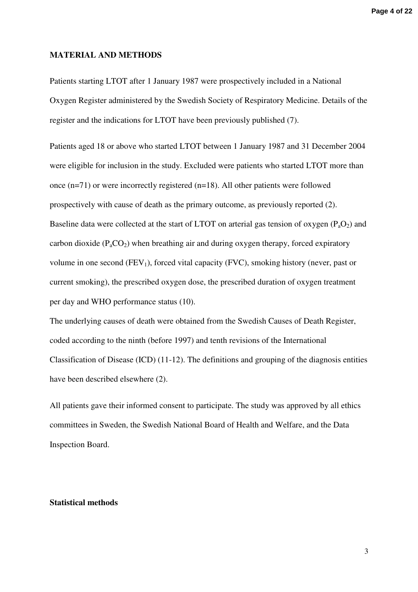#### **MATERIAL AND METHODS**

Patients starting LTOT after 1 January 1987 were prospectively included in a National Oxygen Register administered by the Swedish Society of Respiratory Medicine. Details of the register and the indications for LTOT have been previously published (7).

Patients aged 18 or above who started LTOT between 1 January 1987 and 31 December 2004 were eligible for inclusion in the study. Excluded were patients who started LTOT more than once (n=71) or were incorrectly registered (n=18). All other patients were followed prospectively with cause of death as the primary outcome, as previously reported (2). Baseline data were collected at the start of LTOT on arterial gas tension of oxygen  $(P_aO_2)$  and carbon dioxide  $(P_aCO_2)$  when breathing air and during oxygen therapy, forced expiratory volume in one second  $(FEV_1)$ , forced vital capacity  $(FVC)$ , smoking history (never, past or current smoking), the prescribed oxygen dose, the prescribed duration of oxygen treatment per day and WHO performance status (10).

The underlying causes of death were obtained from the Swedish Causes of Death Register, coded according to the ninth (before 1997) and tenth revisions of the International Classification of Disease (ICD) (11-12). The definitions and grouping of the diagnosis entities have been described elsewhere (2).

All patients gave their informed consent to participate. The study was approved by all ethics committees in Sweden, the Swedish National Board of Health and Welfare, and the Data Inspection Board.

#### **Statistical methods**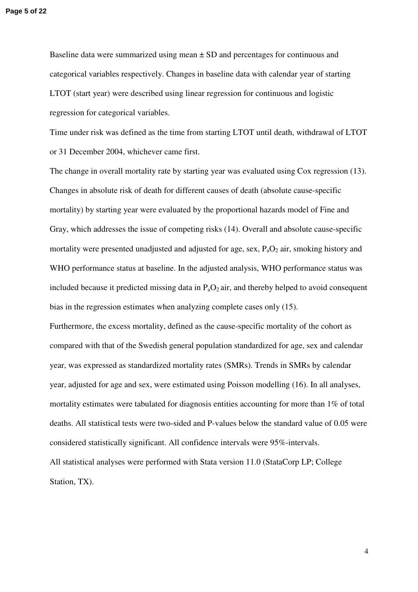Baseline data were summarized using mean  $\pm$  SD and percentages for continuous and categorical variables respectively. Changes in baseline data with calendar year of starting LTOT (start year) were described using linear regression for continuous and logistic regression for categorical variables.

Time under risk was defined as the time from starting LTOT until death, withdrawal of LTOT or 31 December 2004, whichever came first.

The change in overall mortality rate by starting year was evaluated using Cox regression (13). Changes in absolute risk of death for different causes of death (absolute cause-specific mortality) by starting year were evaluated by the proportional hazards model of Fine and Gray, which addresses the issue of competing risks (14). Overall and absolute cause-specific mortality were presented unadjusted and adjusted for age, sex,  $P_aO_2$  air, smoking history and WHO performance status at baseline. In the adjusted analysis, WHO performance status was included because it predicted missing data in  $P_aO_2$  air, and thereby helped to avoid consequent bias in the regression estimates when analyzing complete cases only (15).

Furthermore, the excess mortality, defined as the cause-specific mortality of the cohort as compared with that of the Swedish general population standardized for age, sex and calendar year, was expressed as standardized mortality rates (SMRs). Trends in SMRs by calendar year, adjusted for age and sex, were estimated using Poisson modelling (16). In all analyses, mortality estimates were tabulated for diagnosis entities accounting for more than 1% of total deaths. All statistical tests were two-sided and P-values below the standard value of 0.05 were considered statistically significant. All confidence intervals were 95%-intervals. All statistical analyses were performed with Stata version 11.0 (StataCorp LP; College Station, TX).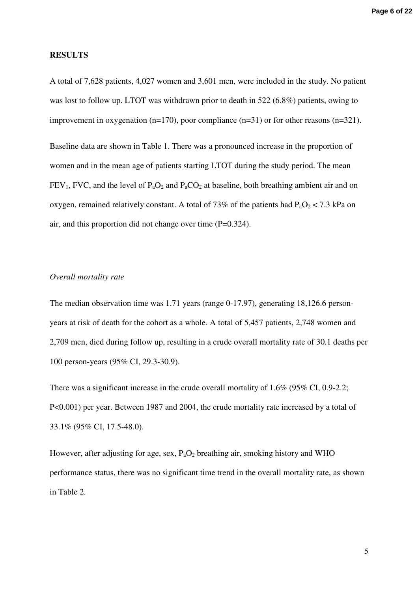#### **RESULTS**

A total of 7,628 patients, 4,027 women and 3,601 men, were included in the study. No patient was lost to follow up. LTOT was withdrawn prior to death in 522 (6.8%) patients, owing to improvement in oxygenation (n=170), poor compliance (n=31) or for other reasons (n=321).

Baseline data are shown in Table 1. There was a pronounced increase in the proportion of women and in the mean age of patients starting LTOT during the study period. The mean  $FEV<sub>1</sub>$ , FVC, and the level of  $P<sub>a</sub>O<sub>2</sub>$  and  $P<sub>a</sub>CO<sub>2</sub>$  at baseline, both breathing ambient air and on oxygen, remained relatively constant. A total of 73% of the patients had  $P_aO_2 < 7.3$  kPa on air, and this proportion did not change over time (P=0.324).

## *Overall mortality rate*

The median observation time was 1.71 years (range 0-17.97), generating 18,126.6 personyears at risk of death for the cohort as a whole. A total of 5,457 patients, 2,748 women and 2,709 men, died during follow up, resulting in a crude overall mortality rate of 30.1 deaths per 100 person-years (95% CI, 29.3-30.9).

There was a significant increase in the crude overall mortality of 1.6% (95% CI, 0.9-2.2; P<0.001) per year. Between 1987 and 2004, the crude mortality rate increased by a total of 33.1% (95% CI, 17.5-48.0).

However, after adjusting for age, sex,  $P_aO_2$  breathing air, smoking history and WHO performance status, there was no significant time trend in the overall mortality rate, as shown in Table 2.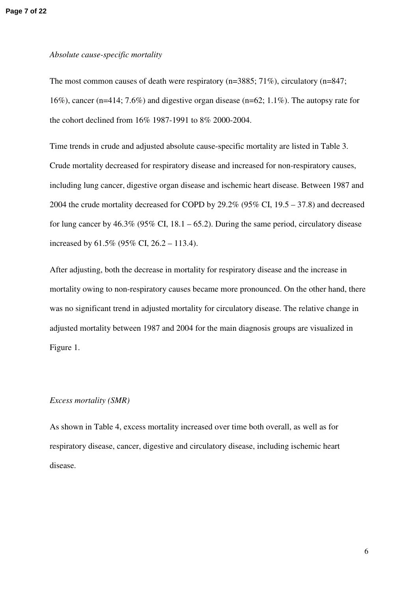#### *Absolute cause-specific mortality*

The most common causes of death were respiratory (n=3885; 71%), circulatory (n=847; 16%), cancer (n=414; 7.6%) and digestive organ disease (n=62; 1.1%). The autopsy rate for the cohort declined from 16% 1987-1991 to 8% 2000-2004.

Time trends in crude and adjusted absolute cause-specific mortality are listed in Table 3. Crude mortality decreased for respiratory disease and increased for non-respiratory causes, including lung cancer, digestive organ disease and ischemic heart disease. Between 1987 and 2004 the crude mortality decreased for COPD by 29.2% (95% CI, 19.5 – 37.8) and decreased for lung cancer by  $46.3\%$  (95% CI, 18.1 – 65.2). During the same period, circulatory disease increased by 61.5% (95% CI, 26.2 – 113.4).

After adjusting, both the decrease in mortality for respiratory disease and the increase in mortality owing to non-respiratory causes became more pronounced. On the other hand, there was no significant trend in adjusted mortality for circulatory disease. The relative change in adjusted mortality between 1987 and 2004 for the main diagnosis groups are visualized in Figure 1.

#### *Excess mortality (SMR)*

As shown in Table 4, excess mortality increased over time both overall, as well as for respiratory disease, cancer, digestive and circulatory disease, including ischemic heart disease.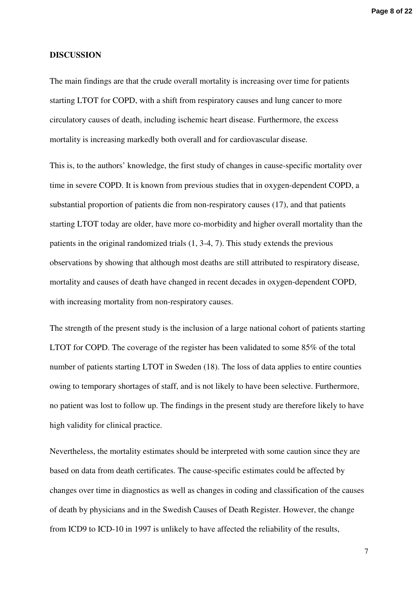#### **DISCUSSION**

The main findings are that the crude overall mortality is increasing over time for patients starting LTOT for COPD, with a shift from respiratory causes and lung cancer to more circulatory causes of death, including ischemic heart disease. Furthermore, the excess mortality is increasing markedly both overall and for cardiovascular disease.

This is, to the authors' knowledge, the first study of changes in cause-specific mortality over time in severe COPD. It is known from previous studies that in oxygen-dependent COPD, a substantial proportion of patients die from non-respiratory causes (17), and that patients starting LTOT today are older, have more co-morbidity and higher overall mortality than the patients in the original randomized trials (1, 3-4, 7). This study extends the previous observations by showing that although most deaths are still attributed to respiratory disease, mortality and causes of death have changed in recent decades in oxygen-dependent COPD, with increasing mortality from non-respiratory causes.

The strength of the present study is the inclusion of a large national cohort of patients starting LTOT for COPD. The coverage of the register has been validated to some 85% of the total number of patients starting LTOT in Sweden (18). The loss of data applies to entire counties owing to temporary shortages of staff, and is not likely to have been selective. Furthermore, no patient was lost to follow up. The findings in the present study are therefore likely to have high validity for clinical practice.

Nevertheless, the mortality estimates should be interpreted with some caution since they are based on data from death certificates. The cause-specific estimates could be affected by changes over time in diagnostics as well as changes in coding and classification of the causes of death by physicians and in the Swedish Causes of Death Register. However, the change from ICD9 to ICD-10 in 1997 is unlikely to have affected the reliability of the results,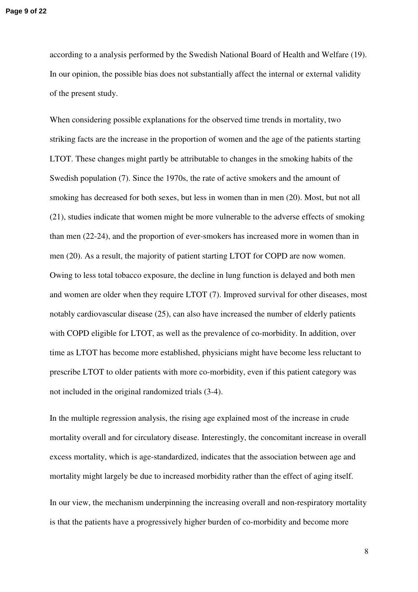according to a analysis performed by the Swedish National Board of Health and Welfare (19). In our opinion, the possible bias does not substantially affect the internal or external validity of the present study.

When considering possible explanations for the observed time trends in mortality, two striking facts are the increase in the proportion of women and the age of the patients starting LTOT. These changes might partly be attributable to changes in the smoking habits of the Swedish population (7). Since the 1970s, the rate of active smokers and the amount of smoking has decreased for both sexes, but less in women than in men (20). Most, but not all (21), studies indicate that women might be more vulnerable to the adverse effects of smoking than men (22-24), and the proportion of ever-smokers has increased more in women than in men (20). As a result, the majority of patient starting LTOT for COPD are now women. Owing to less total tobacco exposure, the decline in lung function is delayed and both men and women are older when they require LTOT (7). Improved survival for other diseases, most notably cardiovascular disease (25), can also have increased the number of elderly patients with COPD eligible for LTOT, as well as the prevalence of co-morbidity. In addition, over time as LTOT has become more established, physicians might have become less reluctant to prescribe LTOT to older patients with more co-morbidity, even if this patient category was not included in the original randomized trials (3-4).

In the multiple regression analysis, the rising age explained most of the increase in crude mortality overall and for circulatory disease. Interestingly, the concomitant increase in overall excess mortality, which is age-standardized, indicates that the association between age and mortality might largely be due to increased morbidity rather than the effect of aging itself. In our view, the mechanism underpinning the increasing overall and non-respiratory mortality is that the patients have a progressively higher burden of co-morbidity and become more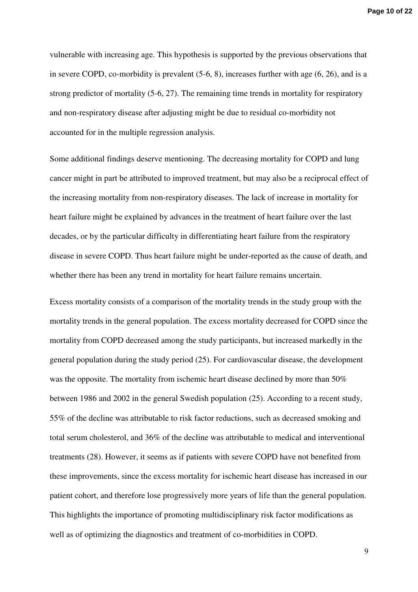vulnerable with increasing age. This hypothesis is supported by the previous observations that in severe COPD, co-morbidity is prevalent (5-6, 8), increases further with age (6, 26), and is a strong predictor of mortality (5-6, 27). The remaining time trends in mortality for respiratory and non-respiratory disease after adjusting might be due to residual co-morbidity not accounted for in the multiple regression analysis.

Some additional findings deserve mentioning. The decreasing mortality for COPD and lung cancer might in part be attributed to improved treatment, but may also be a reciprocal effect of the increasing mortality from non-respiratory diseases. The lack of increase in mortality for heart failure might be explained by advances in the treatment of heart failure over the last decades, or by the particular difficulty in differentiating heart failure from the respiratory disease in severe COPD. Thus heart failure might be under-reported as the cause of death, and whether there has been any trend in mortality for heart failure remains uncertain.

Excess mortality consists of a comparison of the mortality trends in the study group with the mortality trends in the general population. The excess mortality decreased for COPD since the mortality from COPD decreased among the study participants, but increased markedly in the general population during the study period (25). For cardiovascular disease, the development was the opposite. The mortality from ischemic heart disease declined by more than 50% between 1986 and 2002 in the general Swedish population (25). According to a recent study, 55% of the decline was attributable to risk factor reductions, such as decreased smoking and total serum cholesterol, and 36% of the decline was attributable to medical and interventional treatments (28). However, it seems as if patients with severe COPD have not benefited from these improvements, since the excess mortality for ischemic heart disease has increased in our patient cohort, and therefore lose progressively more years of life than the general population. This highlights the importance of promoting multidisciplinary risk factor modifications as well as of optimizing the diagnostics and treatment of co-morbidities in COPD.

9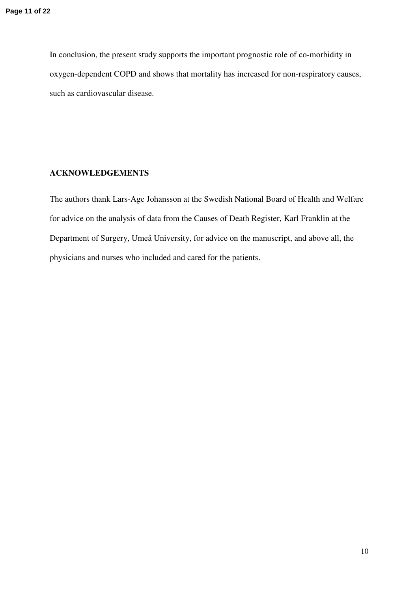In conclusion, the present study supports the important prognostic role of co-morbidity in oxygen-dependent COPD and shows that mortality has increased for non-respiratory causes, such as cardiovascular disease.

## **ACKNOWLEDGEMENTS**

The authors thank Lars-Age Johansson at the Swedish National Board of Health and Welfare for advice on the analysis of data from the Causes of Death Register, Karl Franklin at the Department of Surgery, Umeå University, for advice on the manuscript, and above all, the physicians and nurses who included and cared for the patients.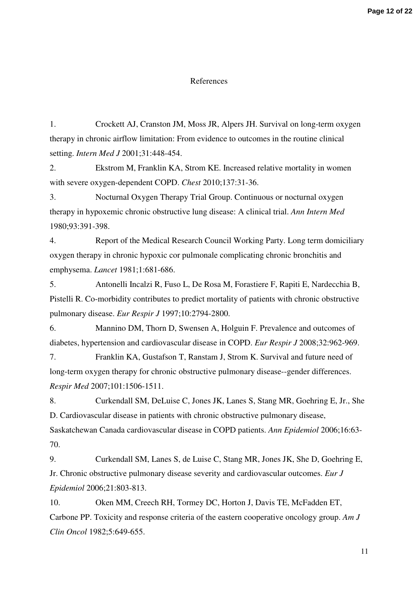#### References

1. Crockett AJ, Cranston JM, Moss JR, Alpers JH. Survival on long-term oxygen therapy in chronic airflow limitation: From evidence to outcomes in the routine clinical setting. *Intern Med J* 2001;31:448-454.

2. Ekstrom M, Franklin KA, Strom KE. Increased relative mortality in women with severe oxygen-dependent COPD. *Chest* 2010;137:31-36.

3. Nocturnal Oxygen Therapy Trial Group. Continuous or nocturnal oxygen therapy in hypoxemic chronic obstructive lung disease: A clinical trial. *Ann Intern Med*  1980;93:391-398.

4. Report of the Medical Research Council Working Party. Long term domiciliary oxygen therapy in chronic hypoxic cor pulmonale complicating chronic bronchitis and emphysema. *Lancet* 1981;1:681-686.

5. Antonelli Incalzi R, Fuso L, De Rosa M, Forastiere F, Rapiti E, Nardecchia B, Pistelli R. Co-morbidity contributes to predict mortality of patients with chronic obstructive pulmonary disease. *Eur Respir J* 1997;10:2794-2800.

6. Mannino DM, Thorn D, Swensen A, Holguin F. Prevalence and outcomes of diabetes, hypertension and cardiovascular disease in COPD. *Eur Respir J* 2008;32:962-969.

7. Franklin KA, Gustafson T, Ranstam J, Strom K. Survival and future need of long-term oxygen therapy for chronic obstructive pulmonary disease--gender differences. *Respir Med* 2007;101:1506-1511.

8. Curkendall SM, DeLuise C, Jones JK, Lanes S, Stang MR, Goehring E, Jr., She D. Cardiovascular disease in patients with chronic obstructive pulmonary disease, Saskatchewan Canada cardiovascular disease in COPD patients. *Ann Epidemiol* 2006;16:63- 70.

9. Curkendall SM, Lanes S, de Luise C, Stang MR, Jones JK, She D, Goehring E, Jr. Chronic obstructive pulmonary disease severity and cardiovascular outcomes. *Eur J Epidemiol* 2006;21:803-813.

10. Oken MM, Creech RH, Tormey DC, Horton J, Davis TE, McFadden ET, Carbone PP. Toxicity and response criteria of the eastern cooperative oncology group. *Am J Clin Oncol* 1982;5:649-655.

11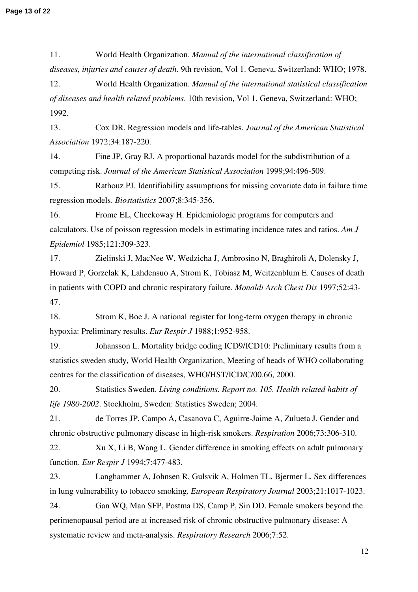11. World Health Organization. *Manual of the international classification of diseases, injuries and causes of death*. 9th revision, Vol 1. Geneva, Switzerland: WHO; 1978.

12. World Health Organization. *Manual of the international statistical classification of diseases and health related problems*. 10th revision, Vol 1. Geneva, Switzerland: WHO; 1992.

13. Cox DR. Regression models and life-tables. *Journal of the American Statistical Association* 1972;34:187-220.

14. Fine JP, Gray RJ. A proportional hazards model for the subdistribution of a competing risk. *Journal of the American Statistical Association* 1999;94:496-509.

15. Rathouz PJ. Identifiability assumptions for missing covariate data in failure time regression models. *Biostatistics* 2007;8:345-356.

16. Frome EL, Checkoway H. Epidemiologic programs for computers and calculators. Use of poisson regression models in estimating incidence rates and ratios. *Am J Epidemiol* 1985;121:309-323.

17. Zielinski J, MacNee W, Wedzicha J, Ambrosino N, Braghiroli A, Dolensky J, Howard P, Gorzelak K, Lahdensuo A, Strom K, Tobiasz M, Weitzenblum E. Causes of death in patients with COPD and chronic respiratory failure. *Monaldi Arch Chest Dis* 1997;52:43- 47.

18. Strom K, Boe J. A national register for long-term oxygen therapy in chronic hypoxia: Preliminary results. *Eur Respir J* 1988;1:952-958.

19. Johansson L. Mortality bridge coding ICD9/ICD10: Preliminary results from a statistics sweden study, World Health Organization, Meeting of heads of WHO collaborating centres for the classification of diseases, WHO/HST/ICD/C/00.66, 2000.

20. Statistics Sweden. *Living conditions. Report no. 105. Health related habits of life 1980-2002*. Stockholm, Sweden: Statistics Sweden; 2004.

21. de Torres JP, Campo A, Casanova C, Aguirre-Jaime A, Zulueta J. Gender and chronic obstructive pulmonary disease in high-risk smokers. *Respiration* 2006;73:306-310.

22. Xu X, Li B, Wang L. Gender difference in smoking effects on adult pulmonary function. *Eur Respir J* 1994;7:477-483.

23. Langhammer A, Johnsen R, Gulsvik A, Holmen TL, Bjermer L. Sex differences in lung vulnerability to tobacco smoking. *European Respiratory Journal* 2003;21:1017-1023.

24. Gan WQ, Man SFP, Postma DS, Camp P, Sin DD. Female smokers beyond the perimenopausal period are at increased risk of chronic obstructive pulmonary disease: A systematic review and meta-analysis. *Respiratory Research* 2006;7:52.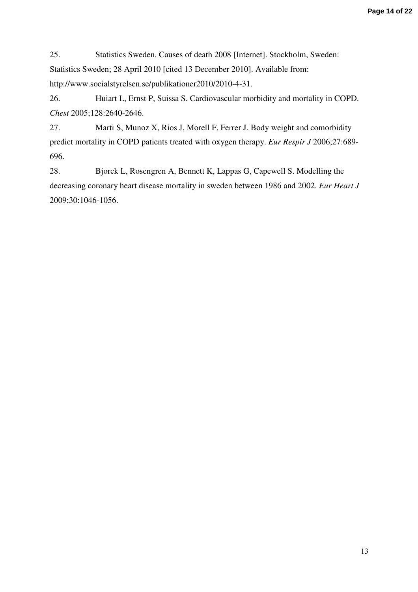25. Statistics Sweden. Causes of death 2008 [Internet]. Stockholm, Sweden: Statistics Sweden; 28 April 2010 [cited 13 December 2010]. Available from: http://www.socialstyrelsen.se/publikationer2010/2010-4-31.

26. Huiart L, Ernst P, Suissa S. Cardiovascular morbidity and mortality in COPD. *Chest* 2005;128:2640-2646.

27. Marti S, Munoz X, Rios J, Morell F, Ferrer J. Body weight and comorbidity predict mortality in COPD patients treated with oxygen therapy. *Eur Respir J* 2006;27:689- 696.

28. Bjorck L, Rosengren A, Bennett K, Lappas G, Capewell S. Modelling the decreasing coronary heart disease mortality in sweden between 1986 and 2002. *Eur Heart J*  2009;30:1046-1056.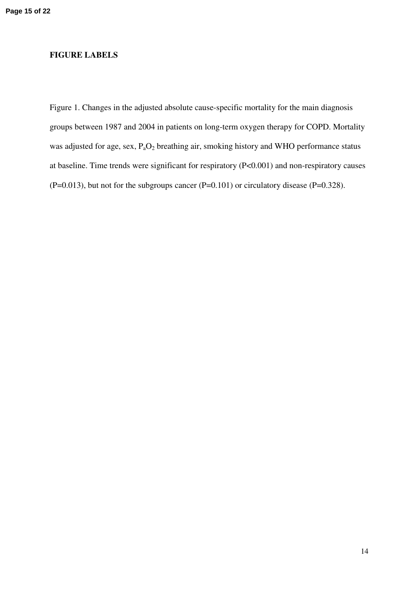## **FIGURE LABELS**

Figure 1. Changes in the adjusted absolute cause-specific mortality for the main diagnosis groups between 1987 and 2004 in patients on long-term oxygen therapy for COPD. Mortality was adjusted for age, sex, P<sub>a</sub>O<sub>2</sub> breathing air, smoking history and WHO performance status at baseline. Time trends were significant for respiratory (P<0.001) and non-respiratory causes  $(P=0.013)$ , but not for the subgroups cancer  $(P=0.101)$  or circulatory disease  $(P=0.328)$ .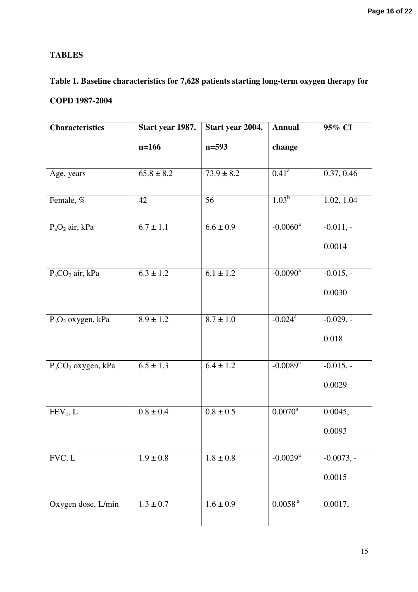# **TABLES**

# **Table 1. Baseline characteristics for 7,628 patients starting long-term oxygen therapy for**

# **COPD 1987-2004**

| <b>Characteristics</b> | Start year 1987, | Start year 2004, | <b>Annual</b>          | 95% CI                 |
|------------------------|------------------|------------------|------------------------|------------------------|
|                        | $n=166$          | $n=593$          | change                 |                        |
| Age, years             | $65.8 \pm 8.2$   | $73.9 \pm 8.2$   | $0.41^{\circ}$         | 0.37, 0.46             |
| Female, %              | 42               | 56               | $1.03^{b}$             | 1.02, 1.04             |
| $P_aO_2$ air, kPa      | $6.7 \pm 1.1$    | $6.6 \pm 0.9$    | $-0.0060$ <sup>a</sup> | $-0.011, -$<br>0.0014  |
| $P_{a}CO_{2}$ air, kPa | $6.3 \pm 1.2$    | $6.1 \pm 1.2$    | $-0.0090$ <sup>a</sup> | $-0.015, -$<br>0.0030  |
| $P_aO_2$ oxygen, kPa   | $8.9 \pm 1.2$    | $8.7 \pm 1.0$    | $-0.024$ <sup>a</sup>  | $-0.029, -$<br>0.018   |
| $P_aCO_2$ oxygen, kPa  | $6.5 \pm 1.3$    | $6.4 \pm 1.2$    | $-0.0089$ <sup>a</sup> | $-0.015, -$<br>0.0029  |
| FEV <sub>1</sub> , L   | $0.8 \pm 0.4$    | $0.8 \pm 0.5$    | $0.0070^{\rm a}$       | 0.0045,<br>0.0093      |
| FVC, L                 | $1.9 \pm 0.8$    | $1.8\pm0.8$      | $-0.0029$ <sup>a</sup> | $-0.0073, -$<br>0.0015 |
| Oxygen dose, L/min     | $1.3 \pm 0.7$    | $1.6 \pm 0.9$    | $0.0058$ $^{\rm a}$    | 0.0017,                |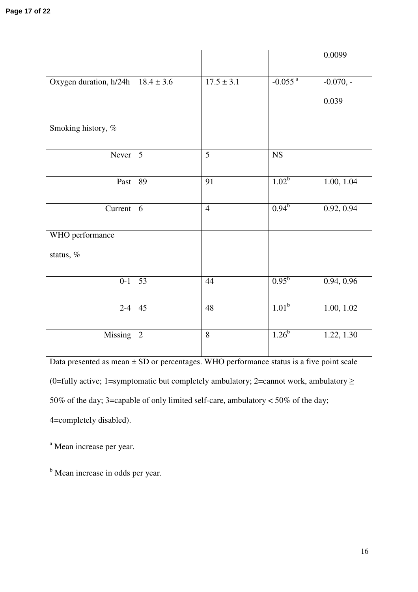|                        |                 |                |                       | 0.0099      |
|------------------------|-----------------|----------------|-----------------------|-------------|
| Oxygen duration, h/24h | $18.4 \pm 3.6$  | $17.5 \pm 3.1$ | $-0.055$ <sup>a</sup> | $-0.070, -$ |
|                        |                 |                |                       |             |
|                        |                 |                |                       | 0.039       |
| Smoking history, %     |                 |                |                       |             |
| Never                  | $5\overline{)}$ | 5              | ${\rm NS}$            |             |
|                        |                 |                |                       |             |
| Past                   | 89              | 91             | $1.02^b$              | 1.00, 1.04  |
|                        |                 |                |                       |             |
| Current                | 6               | $\overline{4}$ | $0.94^{b}$            | 0.92, 0.94  |
| WHO performance        |                 |                |                       |             |
| status, %              |                 |                |                       |             |
|                        |                 |                |                       |             |
| $0 - 1$                | 53              | 44             | $0.95^{b}$            | 0.94, 0.96  |
| $2 - 4$                | 45              | 48             | $1.01^b$              | 1.00, 1.02  |
|                        |                 |                |                       |             |
| Missing                | $\overline{2}$  | 8              | $1.26^{b}$            | 1.22, 1.30  |
|                        |                 |                |                       |             |

Data presented as mean  $\pm$  SD or percentages. WHO performance status is a five point scale (0=fully active; 1=symptomatic but completely ambulatory; 2=cannot work, ambulatory  $\geq$ 50% of the day; 3=capable of only limited self-care, ambulatory < 50% of the day; 4=completely disabled).

<sup>a</sup> Mean increase per year.

<sup>b</sup> Mean increase in odds per year.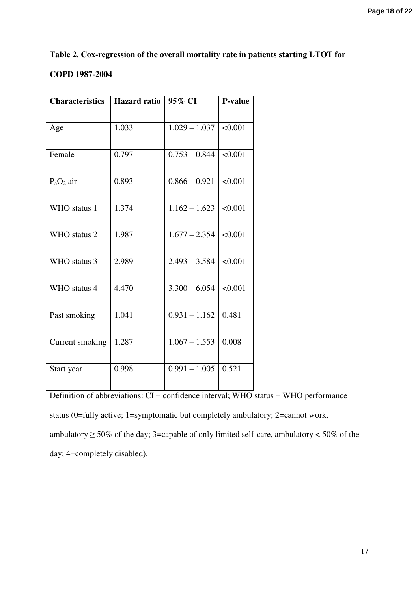# **Table 2. Cox-regression of the overall mortality rate in patients starting LTOT for**

## **COPD 1987-2004**

| <b>Characteristics</b> | <b>Hazard ratio</b> | 95% CI          | <b>P-value</b> |
|------------------------|---------------------|-----------------|----------------|
|                        |                     |                 |                |
| Age                    | 1.033               | $1.029 - 1.037$ | < 0.001        |
|                        |                     |                 |                |
| Female                 | 0.797               | $0.753 - 0.844$ | < 0.001        |
|                        |                     |                 |                |
| $P_aO_2$ air           | 0.893               | $0.866 - 0.921$ | < 0.001        |
|                        |                     |                 |                |
| WHO status 1           | 1.374               | $1.162 - 1.623$ | < 0.001        |
|                        |                     |                 |                |
| WHO status 2           | 1.987               | $1.677 - 2.354$ | < 0.001        |
|                        |                     |                 |                |
| WHO status 3           | 2.989               | $2.493 - 3.584$ | < 0.001        |
|                        |                     |                 |                |
| WHO status 4           | 4.470               | $3.300 - 6.054$ | < 0.001        |
|                        |                     |                 |                |
| Past smoking           | 1.041               | $0.931 - 1.162$ | 0.481          |
|                        |                     |                 |                |
| Current smoking        | 1.287               | $1.067 - 1.553$ | 0.008          |
|                        |                     |                 |                |
| Start year             | 0.998               | $0.991 - 1.005$ | 0.521          |
|                        |                     |                 |                |

 $\overline{\text{Definition of abbreviations: CI = confidence interval; WHO status = WHO performance}}$ status (0=fully active; 1=symptomatic but completely ambulatory; 2=cannot work, ambulatory  $\geq 50\%$  of the day; 3=capable of only limited self-care, ambulatory < 50% of the day; 4=completely disabled).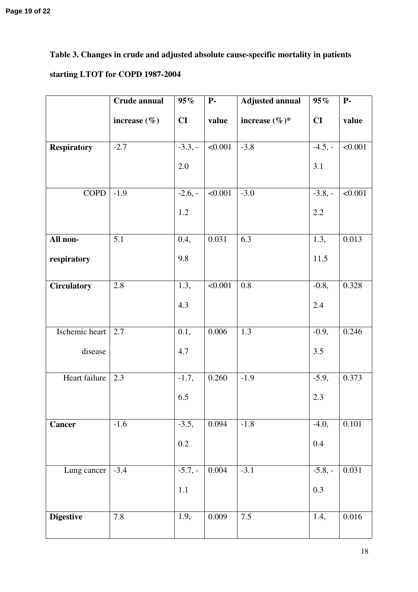# **Table 3. Changes in crude and adjusted absolute cause-specific mortality in patients starting LTOT for COPD 1987-2004**

|                    | Crude annual     | $95\%$    | $P-$           | <b>Adjusted annual</b> | 95%       | $P-$      |
|--------------------|------------------|-----------|----------------|------------------------|-----------|-----------|
|                    | increase $(\% )$ | CI        | value          | increase $(\%)^*$      | CI        | value     |
| <b>Respiratory</b> | $-2.7$           | $-3.3,-$  | $\sqrt{0.001}$ | $-3.8$                 | $-4.5, -$ | < 0.001   |
|                    |                  | 2.0       |                |                        | 3.1       |           |
| COPD               | $-1.9$           | $-2.6, -$ | < 0.001        | $-3.0$                 | $-3.8, -$ | < 0.001   |
|                    |                  | 1.2       |                |                        | $2.2\,$   |           |
| All non-           | 5.1              | 0.4,      | 0.031          | 6.3                    | 1.3,      | 0.013     |
| respiratory        |                  | 9.8       |                |                        | 11.5      |           |
| <b>Circulatory</b> | 2.8              | 1.3,      | < 0.001        | 0.8                    | $-0.8,$   | 0.328     |
|                    |                  | 4.3       |                |                        | 2.4       |           |
| Ischemic heart     | 2.7              | 0.1,      | 0.006          | 1.3                    | $-0.9,$   | 0.246     |
| disease            |                  | 4.7       |                |                        | 3.5       |           |
| Heart failure      | 2.3              | $-1.7,$   | 0.260          | $-1.9$                 | $-5.9,$   | 0.373     |
|                    |                  | 6.5       |                |                        | 2.3       |           |
| <b>Cancer</b>      | $-1.6$           | $-3.5,$   | 0.094          | $-1.8$                 | $-4.0,$   | 0.101     |
|                    |                  | 0.2       |                |                        | 0.4       |           |
| Lung cancer        | $-3.4$           | $-5.7,-$  | 0.004          | $-3.1$                 | $-5.8, -$ | 0.031     |
|                    |                  | 1.1       |                |                        | 0.3       |           |
| <b>Digestive</b>   | 7.8              | 1.9,      | 0.009          | $7.5\,$                | 1.4,      | $0.016\,$ |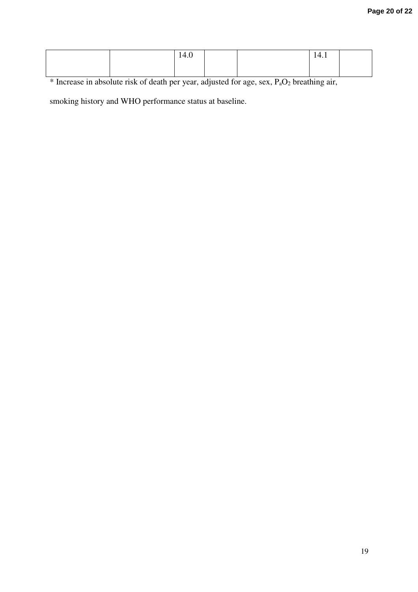|                    |   | 14.0 |                           |     | 14.1               |  |
|--------------------|---|------|---------------------------|-----|--------------------|--|
|                    |   |      |                           |     |                    |  |
| $\sim$ $\sim$<br>. | . |      | $\sim$ $\sim$ $\sim$<br>. | ___ | .<br>$\sim$ $\sim$ |  |

 $\frac{1}{1}$  \* Increase in absolute risk of death per year, adjusted for age, sex,  $P_aO_2$  breathing air,

smoking history and WHO performance status at baseline.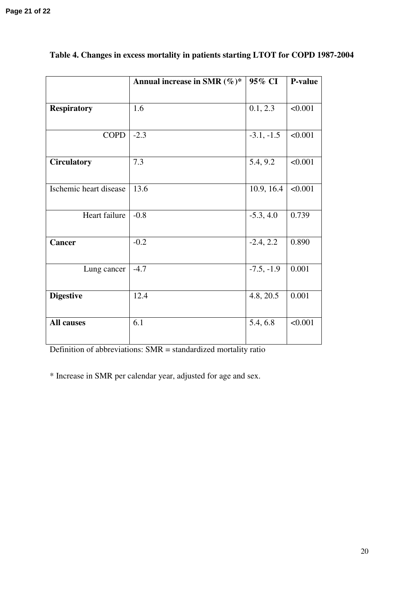|                        | Annual increase in SMR $(\%)^*$ | 95% CI       | <b>P-value</b> |
|------------------------|---------------------------------|--------------|----------------|
|                        |                                 |              |                |
| <b>Respiratory</b>     | 1.6                             | 0.1, 2.3     | < 0.001        |
|                        |                                 |              |                |
| <b>COPD</b>            | $-2.3$                          | $-3.1, -1.5$ | < 0.001        |
|                        |                                 |              |                |
| <b>Circulatory</b>     | 7.3                             | 5.4, 9.2     | < 0.001        |
|                        |                                 |              |                |
| Ischemic heart disease | 13.6                            | 10.9, 16.4   | < 0.001        |
|                        |                                 |              |                |
| Heart failure          | $-0.8$                          | $-5.3, 4.0$  | 0.739          |
|                        |                                 |              |                |
| Cancer                 | $-0.2$                          | $-2.4, 2.2$  | 0.890          |
|                        |                                 |              |                |
| Lung cancer            | $-4.7$                          | $-7.5, -1.9$ | 0.001          |
|                        |                                 |              |                |
| <b>Digestive</b>       | 12.4                            | 4.8, 20.5    | 0.001          |
|                        |                                 |              |                |
| <b>All causes</b>      | 6.1                             | 5.4, 6.8     | < 0.001        |
|                        |                                 |              |                |

# **Table 4. Changes in excess mortality in patients starting LTOT for COPD 1987-2004**

Definition of abbreviations: SMR = standardized mortality ratio

\* Increase in SMR per calendar year, adjusted for age and sex.